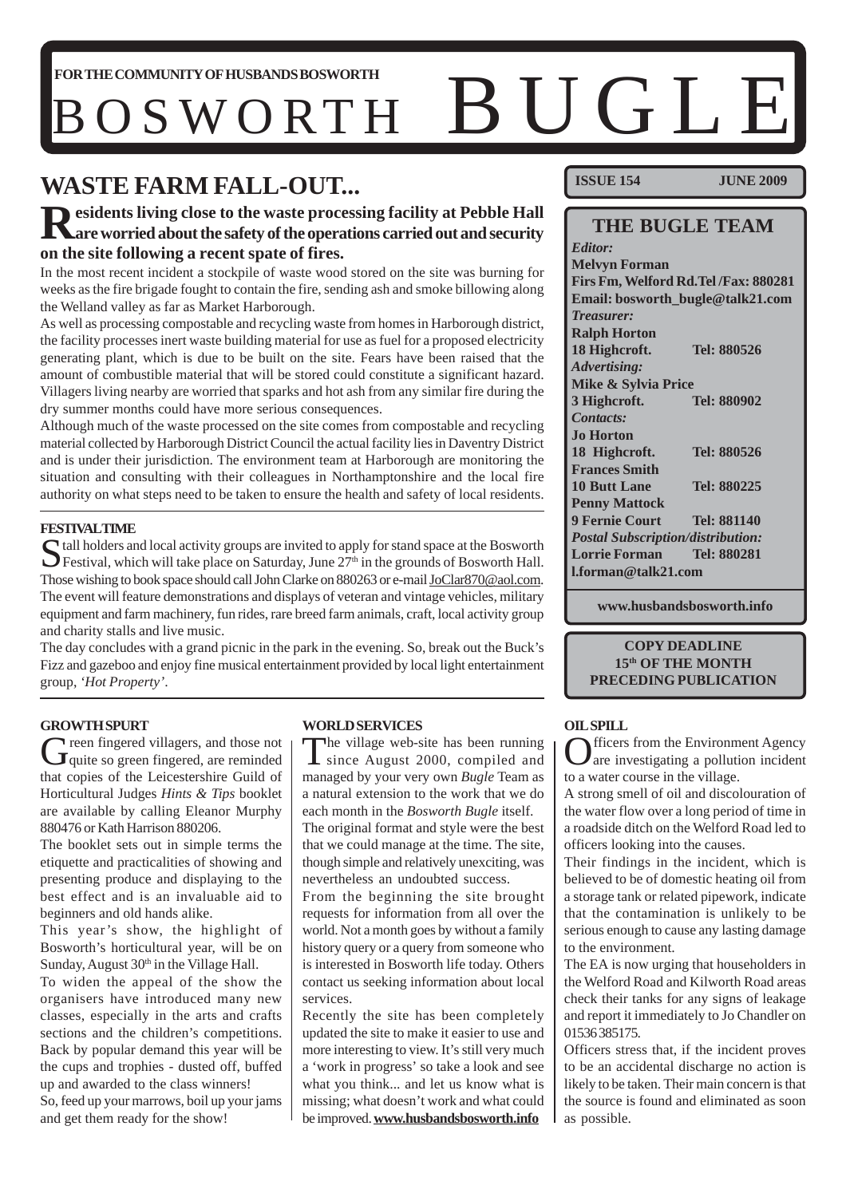# FORTHECOMMUNITY OF HUSBANDS BOSWORTH **BUGLE**

# **WASTE FARM FALL-OUT...**

# **Residents living close to the waste processing facility at Pebble Hall are worried about the safety of the operations carried out and security on the site following a recent spate of fires.**

In the most recent incident a stockpile of waste wood stored on the site was burning for weeks as the fire brigade fought to contain the fire, sending ash and smoke billowing along the Welland valley as far as Market Harborough.

As well as processing compostable and recycling waste from homes in Harborough district, the facility processes inert waste building material for use as fuel for a proposed electricity generating plant, which is due to be built on the site. Fears have been raised that the amount of combustible material that will be stored could constitute a significant hazard. Villagers living nearby are worried that sparks and hot ash from any similar fire during the dry summer months could have more serious consequences.

Although much of the waste processed on the site comes from compostable and recycling material collected by Harborough District Council the actual facility lies in Daventry District and is under their jurisdiction. The environment team at Harborough are monitoring the situation and consulting with their colleagues in Northamptonshire and the local fire authority on what steps need to be taken to ensure the health and safety of local residents.

#### **FESTIVAL TIME**

Stall holders and local activity groups are invited to apply for stand space at the Bosworth Hall.<br>Festival, which will take place on Saturday, June 27<sup>th</sup> in the grounds of Bosworth Hall. Those wishing to book space should call John Clarke on 880263 or e-mail JoClar870@aol.com. The event will feature demonstrations and displays of veteran and vintage vehicles, military equipment and farm machinery, fun rides, rare breed farm animals, craft, local activity group and charity stalls and live music.

The day concludes with a grand picnic in the park in the evening. So, break out the Buck's Fizz and gazeboo and enjoy fine musical entertainment provided by local light entertainment group, *'Hot Property'*.

#### **GROWTH SPURT**

Green fingered villagers, and those not<br> **G**quite so green fingered, are reminded that copies of the Leicestershire Guild of Horticultural Judges *Hints & Tips* booklet are available by calling Eleanor Murphy 880476 or Kath Harrison 880206.

The booklet sets out in simple terms the etiquette and practicalities of showing and presenting produce and displaying to the best effect and is an invaluable aid to beginners and old hands alike.

This year's show, the highlight of Bosworth's horticultural year, will be on Sunday, August  $30<sup>th</sup>$  in the Village Hall.

To widen the appeal of the show the organisers have introduced many new classes, especially in the arts and crafts sections and the children's competitions. Back by popular demand this year will be the cups and trophies - dusted off, buffed up and awarded to the class winners! So, feed up your marrows, boil up your jams and get them ready for the show!

#### **WORLD SERVICES**

The village web-site has been running<br>since August 2000, compiled and managed by your very own *Bugle* Team as a natural extension to the work that we do each month in the *Bosworth Bugle* itself.

The original format and style were the best that we could manage at the time. The site, though simple and relatively unexciting, was nevertheless an undoubted success.

From the beginning the site brought requests for information from all over the world. Not a month goes by without a family history query or a query from someone who is interested in Bosworth life today. Others contact us seeking information about local services.

Recently the site has been completely updated the site to make it easier to use and more interesting to view. It's still very much a 'work in progress' so take a look and see what you think... and let us know what is missing; what doesn't work and what could be improved. **www.husbandsbosworth.info**

**ISSUE 154 JUNE 2009**

## **THE BUGLE TEAM**

*Editor:* **Melvyn Forman Firs Fm, Welford Rd.Tel /Fax: 880281 Email: bosworth\_bugle@talk21.com** *Treasurer:* **Ralph Horton 18 Highcroft. Tel: 880526** *Advertising:* **Mike & Sylvia Price 3 Highcroft. Tel: 880902** *Contacts:* **Jo Horton 18 Highcroft. Tel: 880526 Frances Smith 10 Butt Lane Tel: 880225 Penny Mattock 9 Fernie Court Tel: 881140** *Postal Subscription/distribution:* **Lorrie Forman Tel: 880281 l.forman@talk21.com**

**www.husbandsbosworth.info**

#### **COPY DEADLINE 15th OF THE MONTH PRECEDING PUBLICATION**

#### **OIL SPILL**

**Meta** from the Environment Agency are investigating a pollution incident to a water course in the village.

A strong smell of oil and discolouration of the water flow over a long period of time in a roadside ditch on the Welford Road led to officers looking into the causes.

Their findings in the incident, which is believed to be of domestic heating oil from a storage tank or related pipework, indicate that the contamination is unlikely to be serious enough to cause any lasting damage to the environment.

The EA is now urging that householders in the Welford Road and Kilworth Road areas check their tanks for any signs of leakage and report it immediately to Jo Chandler on 01536 385175.

Officers stress that, if the incident proves to be an accidental discharge no action is likely to be taken. Their main concern is that the source is found and eliminated as soon as possible.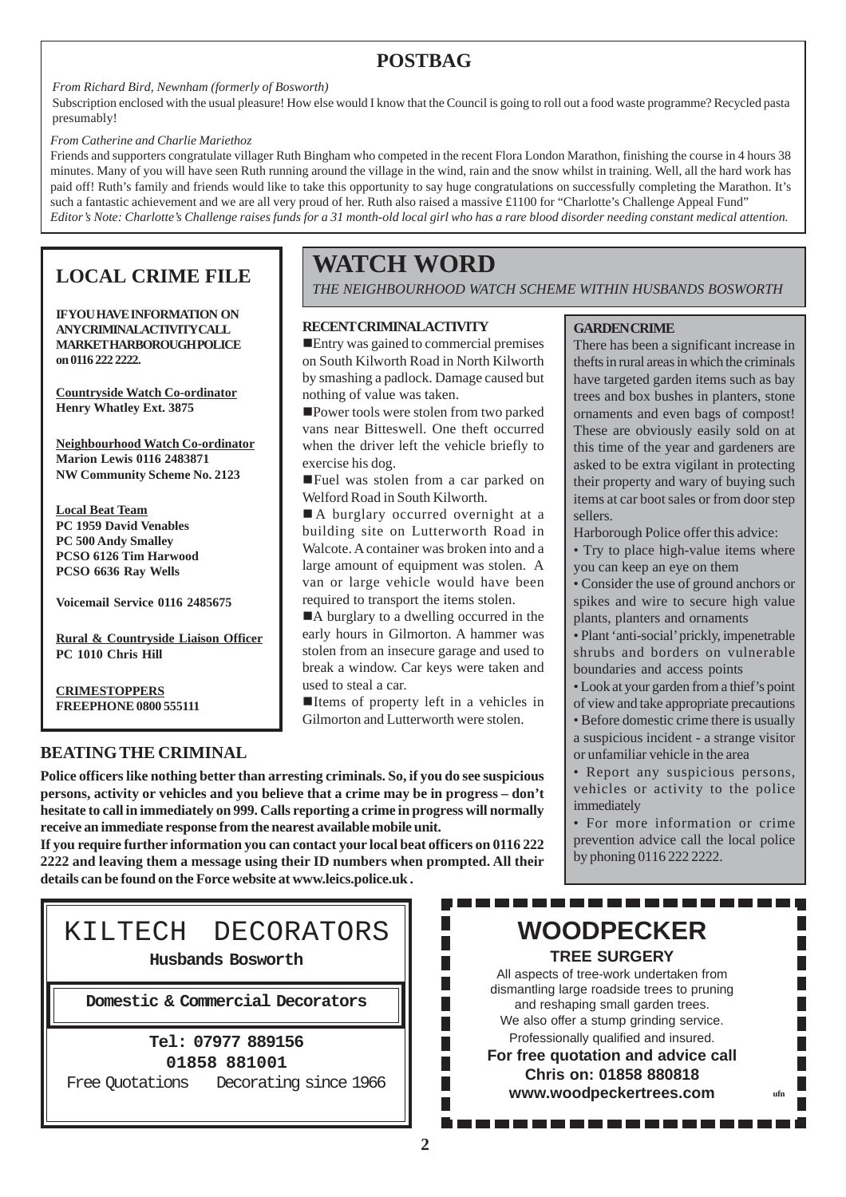## **POSTBAG**

*From Richard Bird, Newnham (formerly of Bosworth)*

Subscription enclosed with the usual pleasure! How else would I know that the Council is going to roll out a food waste programme? Recycled pasta presumably!

#### *From Catherine and Charlie Mariethoz*

Friends and supporters congratulate villager Ruth Bingham who competed in the recent Flora London Marathon, finishing the course in 4 hours 38 minutes. Many of you will have seen Ruth running around the village in the wind, rain and the snow whilst in training. Well, all the hard work has paid off! Ruth's family and friends would like to take this opportunity to say huge congratulations on successfully completing the Marathon. It's such a fantastic achievement and we are all very proud of her. Ruth also raised a massive £1100 for "Charlotte's Challenge Appeal Fund" *Editor's Note: Charlotte's Challenge raises funds for a 31 month-old local girl who has a rare blood disorder needing constant medical attention.*

## **LOCAL CRIME FILE**

**IF YOU HAVE INFORMATION ON ANY CRIMINALACTIVITY CALL MARKET HARBOROUGH POLICE on 0116 222 2222.**

**Countryside Watch Co-ordinator Henry Whatley Ext. 3875**

**Neighbourhood Watch Co-ordinator Marion Lewis 0116 2483871 NW Community Scheme No. 2123**

**Local Beat Team PC 1959 David Venables PC 500 Andy Smalley PCSO 6126 Tim Harwood PCSO 6636 Ray Wells**

**Voicemail Service 0116 2485675**

**Rural & Countryside Liaison Officer PC 1010 Chris Hill**

**CRIMESTOPPERS FREEPHONE 0800 555111**

## **BEATING THE CRIMINAL**

**WATCH WORD**

*THE NEIGHBOURHOOD WATCH SCHEME WITHIN HUSBANDS BOSWORTH*

#### **RECENT CRIMINAL ACTIVITY**

Entry was gained to commercial premises on South Kilworth Road in North Kilworth by smashing a padlock. Damage caused but nothing of value was taken.

Power tools were stolen from two parked vans near Bitteswell. One theft occurred when the driver left the vehicle briefly to exercise his dog.

Fuel was stolen from a car parked on Welford Road in South Kilworth.

A burglary occurred overnight at a building site on Lutterworth Road in Walcote. A container was broken into and a large amount of equipment was stolen. A van or large vehicle would have been required to transport the items stolen.

A burglary to a dwelling occurred in the early hours in Gilmorton. A hammer was stolen from an insecure garage and used to break a window. Car keys were taken and used to steal a car.

Items of property left in a vehicles in Gilmorton and Lutterworth were stolen.

## **GARDEN CRIME**

There has been a significant increase in thefts in rural areas in which the criminals have targeted garden items such as bay trees and box bushes in planters, stone ornaments and even bags of compost! These are obviously easily sold on at this time of the year and gardeners are asked to be extra vigilant in protecting their property and wary of buying such items at car boot sales or from door step sellers.

Harborough Police offer this advice:

• Try to place high-value items where you can keep an eye on them

• Consider the use of ground anchors or spikes and wire to secure high value plants, planters and ornaments

• Plant 'anti-social' prickly, impenetrable shrubs and borders on vulnerable boundaries and access points

• Look at your garden from a thief's point

of view and take appropriate precautions • Before domestic crime there is usually a suspicious incident - a strange visitor or unfamiliar vehicle in the area

• Report any suspicious persons, vehicles or activity to the police immediately

• For more information or crime prevention advice call the local police by phoning 0116 222 2222.

. . . . . . . .

# KILTECH DECORATORS

**details can be found on the Force website at www.leics.police.uk .**

**receive an immediate response from the nearest available mobile unit.**

**Police officers like nothing better than arresting criminals. So, if you do see suspicious persons, activity or vehicles and you believe that a crime may be in progress – don't hesitate to call in immediately on 999. Calls reporting a crime in progress will normally**

**If you require further information you can contact your local beat officers on 0116 222 2222 and leaving them a message using their ID numbers when prompted. All their**

**Husbands Bosworth**

**Domestic & Commercial Decorators**

#### **Tel: 07977 889156 01858 881001**

Free Quotations Decorating since 1966

# . . . . . . . . . . . . . . **WOODPECKER**

**TREE SURGERY**

All aspects of tree-work undertaken from dismantling large roadside trees to pruning and reshaping small garden trees. We also offer a stump grinding service. Professionally qualified and insured. **For free quotation and advice call Chris on: 01858 880818 www.woodpeckertrees.com ufn**

Г

П

Г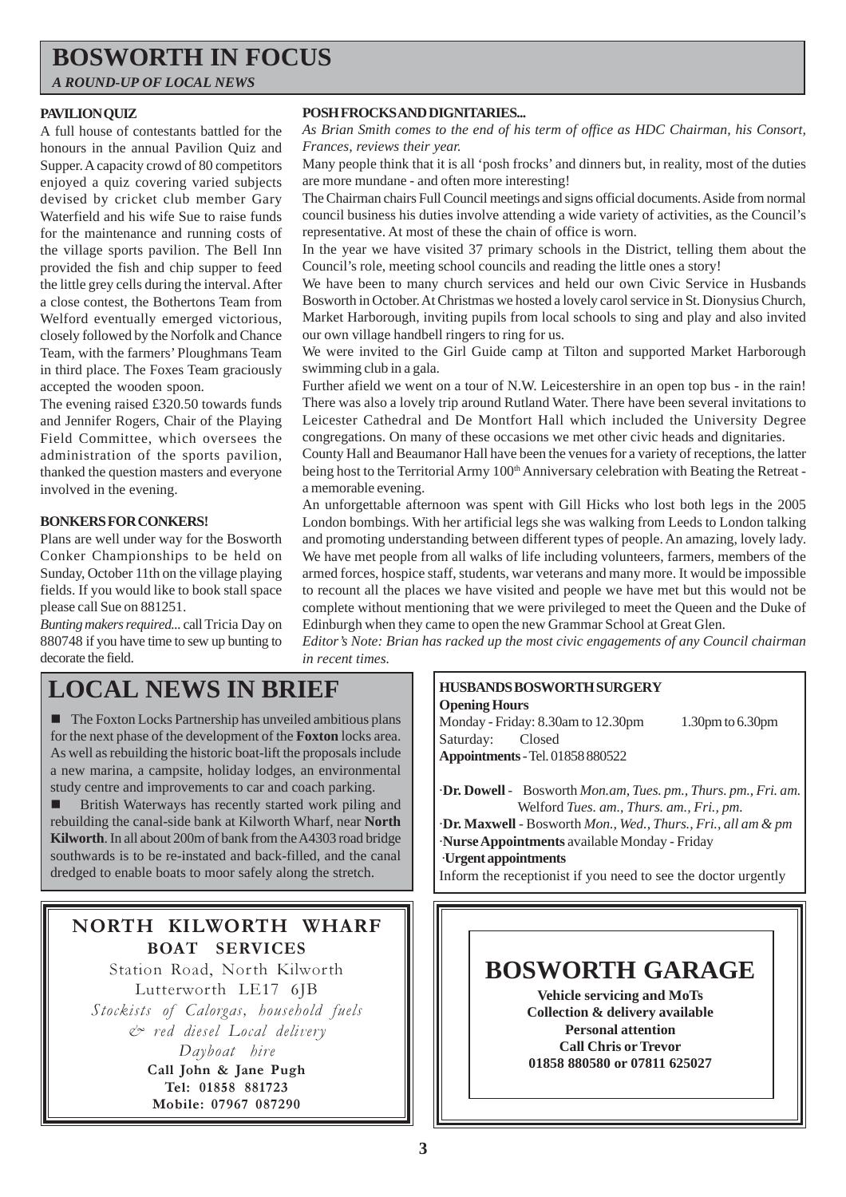## **BOSWORTH IN FOCUS**

*A ROUND-UP OF LOCAL NEWS*

#### **PAVILION QUIZ**

A full house of contestants battled for the honours in the annual Pavilion Quiz and Supper. A capacity crowd of 80 competitors enjoyed a quiz covering varied subjects devised by cricket club member Gary Waterfield and his wife Sue to raise funds for the maintenance and running costs of the village sports pavilion. The Bell Inn provided the fish and chip supper to feed the little grey cells during the interval. After a close contest, the Bothertons Team from Welford eventually emerged victorious, closely followed by the Norfolk and Chance Team, with the farmers' Ploughmans Team in third place. The Foxes Team graciously accepted the wooden spoon.

The evening raised £320.50 towards funds and Jennifer Rogers, Chair of the Playing Field Committee, which oversees the administration of the sports pavilion, thanked the question masters and everyone involved in the evening.

#### **BONKERS FOR CONKERS!**

Plans are well under way for the Bosworth Conker Championships to be held on Sunday, October 11th on the village playing fields. If you would like to book stall space please call Sue on 881251.

*Bunting makers required...* call Tricia Day on 880748 if you have time to sew up bunting to decorate the field.

#### **POSH FROCKS AND DIGNITARIES...**

*As Brian Smith comes to the end of his term of office as HDC Chairman, his Consort, Frances, reviews their year.*

Many people think that it is all 'posh frocks' and dinners but, in reality, most of the duties are more mundane - and often more interesting!

The Chairman chairs Full Council meetings and signs official documents. Aside from normal council business his duties involve attending a wide variety of activities, as the Council's representative. At most of these the chain of office is worn.

In the year we have visited 37 primary schools in the District, telling them about the Council's role, meeting school councils and reading the little ones a story!

We have been to many church services and held our own Civic Service in Husbands Bosworth in October. At Christmas we hosted a lovely carol service in St. Dionysius Church, Market Harborough, inviting pupils from local schools to sing and play and also invited our own village handbell ringers to ring for us.

We were invited to the Girl Guide camp at Tilton and supported Market Harborough swimming club in a gala.

Further afield we went on a tour of N.W. Leicestershire in an open top bus - in the rain! There was also a lovely trip around Rutland Water. There have been several invitations to Leicester Cathedral and De Montfort Hall which included the University Degree congregations. On many of these occasions we met other civic heads and dignitaries.

County Hall and Beaumanor Hall have been the venues for a variety of receptions, the latter being host to the Territorial Army 100<sup>th</sup> Anniversary celebration with Beating the Retreat a memorable evening.

An unforgettable afternoon was spent with Gill Hicks who lost both legs in the 2005 London bombings. With her artificial legs she was walking from Leeds to London talking and promoting understanding between different types of people. An amazing, lovely lady. We have met people from all walks of life including volunteers, farmers, members of the armed forces, hospice staff, students, war veterans and many more. It would be impossible to recount all the places we have visited and people we have met but this would not be complete without mentioning that we were privileged to meet the Queen and the Duke of Edinburgh when they came to open the new Grammar School at Great Glen.

*Editor's Note: Brian has racked up the most civic engagements of any Council chairman in recent times.*

## **LOCAL NEWS IN BRIEF**

 $\blacksquare$  The Foxton Locks Partnership has unveiled ambitious plans for the next phase of the development of the **Foxton** locks area. As well as rebuilding the historic boat-lift the proposals include a new marina, a campsite, holiday lodges, an environmental study centre and improvements to car and coach parking.

**British Waterways has recently started work piling and** rebuilding the canal-side bank at Kilworth Wharf, near **North Kilworth**. In all about 200m of bank from the A4303 road bridge southwards is to be re-instated and back-filled, and the canal dredged to enable boats to moor safely along the stretch.

## NORTH KILWORTH WHARF BOAT SERVICES

Station Road, North Kilworth Lutterworth LE17 6JB Stockists of Calorgas, household fuels & red diesel Local delivery Dayboat hire

Call John & Jane Pugh Tel: 01858 881723 Mobile: 07967 087290

## **HUSBANDS BOSWORTH SURGERY**

**Opening Hours** Monday - Friday: 8.30am to 12.30pm 1.30pm to 6.30pm Saturday: Closed **Appointments** - Tel. 01858 880522

·**Dr. Dowell** - Bosworth *Mon.am, Tues. pm., Thurs. pm., Fri. am.* Welford *Tues. am., Thurs. am., Fri., pm.* ·**Dr. Maxwell** - Bosworth *Mon., Wed., Thurs., Fri., all am & pm* ·**Nurse Appointments** available Monday - Friday ·**Urgent appointments** Inform the receptionist if you need to see the doctor urgently

# **BOSWORTH GARAGE**

**Vehicle servicing and MoTs Collection & delivery available Personal attention Call Chris or Trevor 01858 880580 or 07811 625027**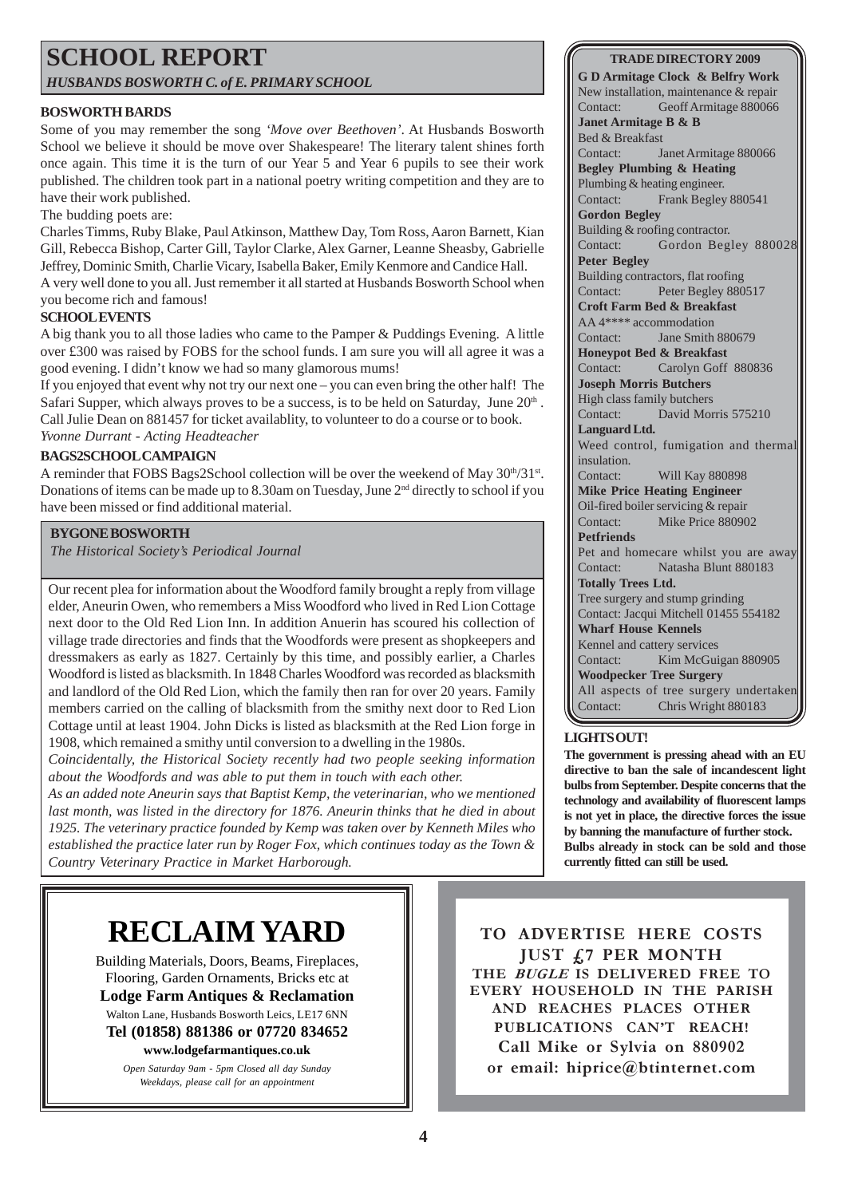# **SCHOOL REPORT**

*HUSBANDS BOSWORTH C. of E. PRIMARY SCHOOL*

## **BOSWORTH BARDS**

Some of you may remember the song *'Move over Beethoven'*. At Husbands Bosworth School we believe it should be move over Shakespeare! The literary talent shines forth once again. This time it is the turn of our Year 5 and Year 6 pupils to see their work published. The children took part in a national poetry writing competition and they are to have their work published.

## The budding poets are:

Charles Timms, Ruby Blake, Paul Atkinson, Matthew Day, Tom Ross, Aaron Barnett, Kian Gill, Rebecca Bishop, Carter Gill, Taylor Clarke, Alex Garner, Leanne Sheasby, Gabrielle Jeffrey, Dominic Smith, Charlie Vicary, Isabella Baker, Emily Kenmore and Candice Hall. A very well done to you all. Just remember it all started at Husbands Bosworth School when you become rich and famous!

## **SCHOOL EVENTS**

A big thank you to all those ladies who came to the Pamper & Puddings Evening. A little over £300 was raised by FOBS for the school funds. I am sure you will all agree it was a good evening. I didn't know we had so many glamorous mums!

If you enjoyed that event why not try our next one – you can even bring the other half! The Safari Supper, which always proves to be a success, is to be held on Saturday, June  $20<sup>th</sup>$ . Call Julie Dean on 881457 for ticket availablity, to volunteer to do a course or to book. *Yvonne Durrant - Acting Headteacher*

## **BAGS2SCHOOL CAMPAIGN**

A reminder that FOBS Bags2School collection will be over the weekend of May  $30<sup>th</sup>/31<sup>st</sup>$ . Donations of items can be made up to 8.30am on Tuesday, June 2nd directly to school if you have been missed or find additional material.

#### **BYGONE BOSWORTH**

*The Historical Society's Periodical Journal*

Our recent plea for information about the Woodford family brought a reply from village elder, Aneurin Owen, who remembers a Miss Woodford who lived in Red Lion Cottage next door to the Old Red Lion Inn. In addition Anuerin has scoured his collection of village trade directories and finds that the Woodfords were present as shopkeepers and dressmakers as early as 1827. Certainly by this time, and possibly earlier, a Charles Woodford is listed as blacksmith. In 1848 Charles Woodford was recorded as blacksmith and landlord of the Old Red Lion, which the family then ran for over 20 years. Family members carried on the calling of blacksmith from the smithy next door to Red Lion Cottage until at least 1904. John Dicks is listed as blacksmith at the Red Lion forge in 1908, which remained a smithy until conversion to a dwelling in the 1980s.

*Coincidentally, the Historical Society recently had two people seeking information about the Woodfords and was able to put them in touch with each other.*

*As an added note Aneurin says that Baptist Kemp, the veterinarian, who we mentioned last month, was listed in the directory for 1876. Aneurin thinks that he died in about 1925. The veterinary practice founded by Kemp was taken over by Kenneth Miles who established the practice later run by Roger Fox, which continues today as the Town & Country Veterinary Practice in Market Harborough.*

#### **TRADE DIRECTORY 2009**

**G D Armitage Clock & Belfry Work** New installation, maintenance & repair Contact: Geoff Armitage 880066 **Janet Armitage B & B** Bed & Breakfast Contact: Janet Armitage 880066 **Begley Plumbing & Heating** Plumbing & heating engineer. Contact: Frank Begley 880541 **Gordon Begley** Building & roofing contractor. Contact: Gordon Begley 880028 **Peter Begley** Building contractors, flat roofing Contact: Peter Begley 880517 **Croft Farm Bed & Breakfast** AA 4\*\*\*\* accommodation Contact: Jane Smith 880679 **Honeypot Bed & Breakfast** Contact: Carolyn Goff 880836 **Joseph Morris Butchers** High class family butchers Contact: David Morris 575210 **Languard Ltd.** Weed control, fumigation and thermal insulation. Contact: Will Kay 880898 **Mike Price Heating Engineer** Oil-fired boiler servicing & repair Contact: Mike Price 880902 **Petfriends** Pet and homecare whilst you are away<br>Contact: Natasha Blunt 880183 Natasha Blunt 880183 **Totally Trees Ltd.** Tree surgery and stump grinding Contact: Jacqui Mitchell 01455 554182 **Wharf House Kennels** Kennel and cattery services Contact: Kim McGuigan 880905 **Woodpecker Tree Surgery** All aspects of tree surgery undertaken Contact: Chris Wright 880183

#### **LIGHTS OUT!**

**The government is pressing ahead with an EU directive to ban the sale of incandescent light bulbs from September. Despite concerns that the technology and availability of fluorescent lamps is not yet in place, the directive forces the issue by banning the manufacture of further stock. Bulbs already in stock can be sold and those currently fitted can still be used.**

# **RECLAIM YARD**

Building Materials, Doors, Beams, Fireplaces, Flooring, Garden Ornaments, Bricks etc at **Lodge Farm Antiques & Reclamation** Walton Lane, Husbands Bosworth Leics, LE17 6NN **Tel (01858) 881386 or 07720 834652**

**www.lodgefarmantiques.co.uk**

*Open Saturday 9am - 5pm Closed all day Sunday Weekdays, please call for an appointment*

TO ADVERTISE HERE COSTS JUST £7 PER MONTH THE BUGLE IS DELIVERED FREE TO EVERY HOUSEHOLD IN THE PARISH AND REACHES PLACES OTHER PUBLICATIONS CAN'T REACH! Call Mike or Sylvia on 880902 or email: hiprice@btinternet.com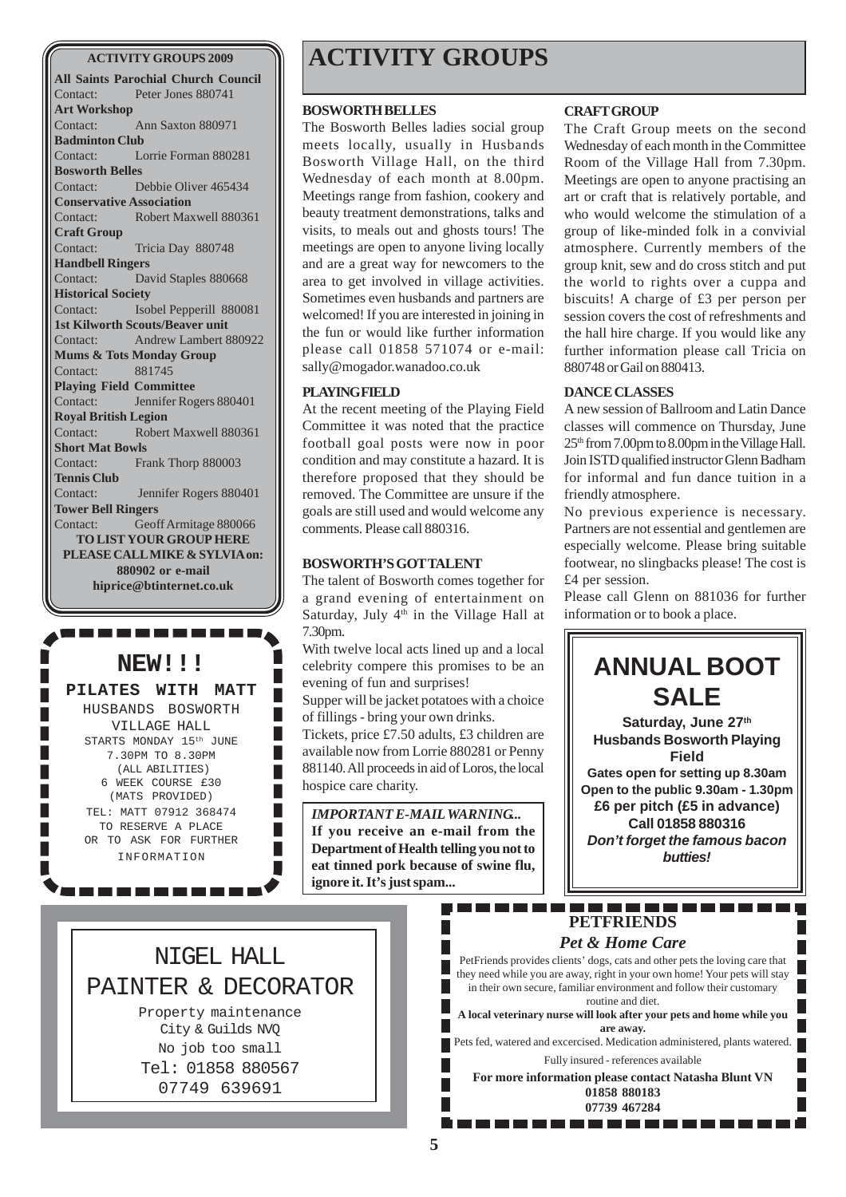**All Saints Parochial Church Council** Contact: Peter Jones 880741 **Art Workshop** Contact: Ann Saxton 880971 **Badminton Club** Contact: Lorrie Forman 880281 **Bosworth Belles** Contact: Debbie Oliver 465434 **Conservative Association** Contact: Robert Maxwell 880361 **Craft Group** Contact: Tricia Day 880748 **Handbell Ringers** Contact: David Staples 880668 **Historical Society** Contact: Isobel Pepperill 880081 **1st Kilworth Scouts/Beaver unit** Contact: Andrew Lambert 880922 **Mums & Tots Monday Group** Contact: 881745 **Playing Field Committee** Contact: Jennifer Rogers 880401 **Royal British Legion** Contact: Robert Maxwell 880361 **Short Mat Bowls** Contact: Frank Thorp 880003 **Tennis Club** Contact: Jennifer Rogers 880401 **Tower Bell Ringers** Contact: Geoff Armitage 880066 **TO LIST YOUR GROUP HERE PLEASE CALL MIKE & SYLVIA on: 880902 or e-mail hiprice@btinternet.co.uk**

## **NEW!!!**

#### **PILATES WITH MATT**

HUSBANDS BOSWORTH VILLAGE HALL STARTS MONDAY 15<sup>th</sup> JUNE 7.30PM TO 8.30PM (ALL ABILITIES) 6 WEEK COURSE £30 (MATS PROVIDED) TEL: MATT 07912 368474 TO RESERVE A PLACE OR TO ASK FOR FURTHER INFORMATION

. . . . . .

# **ACTIVITY GROUPS 2009 ACTIVITY GROUPS**

#### **BOSWORTH BELLES**

The Bosworth Belles ladies social group meets locally, usually in Husbands Bosworth Village Hall, on the third Wednesday of each month at 8.00pm. Meetings range from fashion, cookery and beauty treatment demonstrations, talks and visits, to meals out and ghosts tours! The meetings are open to anyone living locally and are a great way for newcomers to the area to get involved in village activities. Sometimes even husbands and partners are welcomed! If you are interested in joining in the fun or would like further information please call 01858 571074 or e-mail: sally@mogador.wanadoo.co.uk

#### **PLAYING FIELD**

At the recent meeting of the Playing Field Committee it was noted that the practice football goal posts were now in poor condition and may constitute a hazard. It is therefore proposed that they should be removed. The Committee are unsure if the goals are still used and would welcome any comments. Please call 880316.

#### **BOSWORTH'S GOT TALENT**

The talent of Bosworth comes together for a grand evening of entertainment on Saturday, July  $4<sup>th</sup>$  in the Village Hall at 7.30pm.

With twelve local acts lined up and a local celebrity compere this promises to be an evening of fun and surprises!

Supper will be jacket potatoes with a choice of fillings - bring your own drinks.

Tickets, price £7.50 adults, £3 children are available now from Lorrie 880281 or Penny 881140. All proceeds in aid of Loros, the local hospice care charity.

*IMPORTANT E-MAIL WARNING...* **If you receive an e-mail from the Department of Health telling you not to eat tinned pork because of swine flu, ignore it. It's just spam...**

#### **CRAFT GROUP**

The Craft Group meets on the second Wednesday of each month in the Committee Room of the Village Hall from 7.30pm. Meetings are open to anyone practising an art or craft that is relatively portable, and who would welcome the stimulation of a group of like-minded folk in a convivial atmosphere. Currently members of the group knit, sew and do cross stitch and put the world to rights over a cuppa and biscuits! A charge of £3 per person per session covers the cost of refreshments and the hall hire charge. If you would like any further information please call Tricia on 880748 or Gail on 880413.

#### **DANCE CLASSES**

A new session of Ballroom and Latin Dance classes will commence on Thursday, June  $25<sup>th</sup>$  from 7.00pm to 8.00pm in the Village Hall. Join ISTD qualified instructor Glenn Badham for informal and fun dance tuition in a friendly atmosphere.

No previous experience is necessary. Partners are not essential and gentlemen are especially welcome. Please bring suitable footwear, no slingbacks please! The cost is £4 per session.

Please call Glenn on 881036 for further information or to book a place.



 $\mathbb{R}^2$ 

#### *Pet & Home Care*

PetFriends provides clients' dogs, cats and other pets the loving care that they need while you are away, right in your own home! Your pets will stay in their own secure, familiar environment and follow their customary routine and diet.

**A local veterinary nurse will look after your pets and home while you are away.**

Pets fed, watered and excercised. Medication administered, plants watered. Fully insured - references available

**For more information please contact Natasha Blunt VN 01858 880183 07739 467284**

NIGEL HALL PAINTER & DECORATOR

П

Property maintenance City & Guilds NVQ No job too small Tel: 01858 880567 07749 639691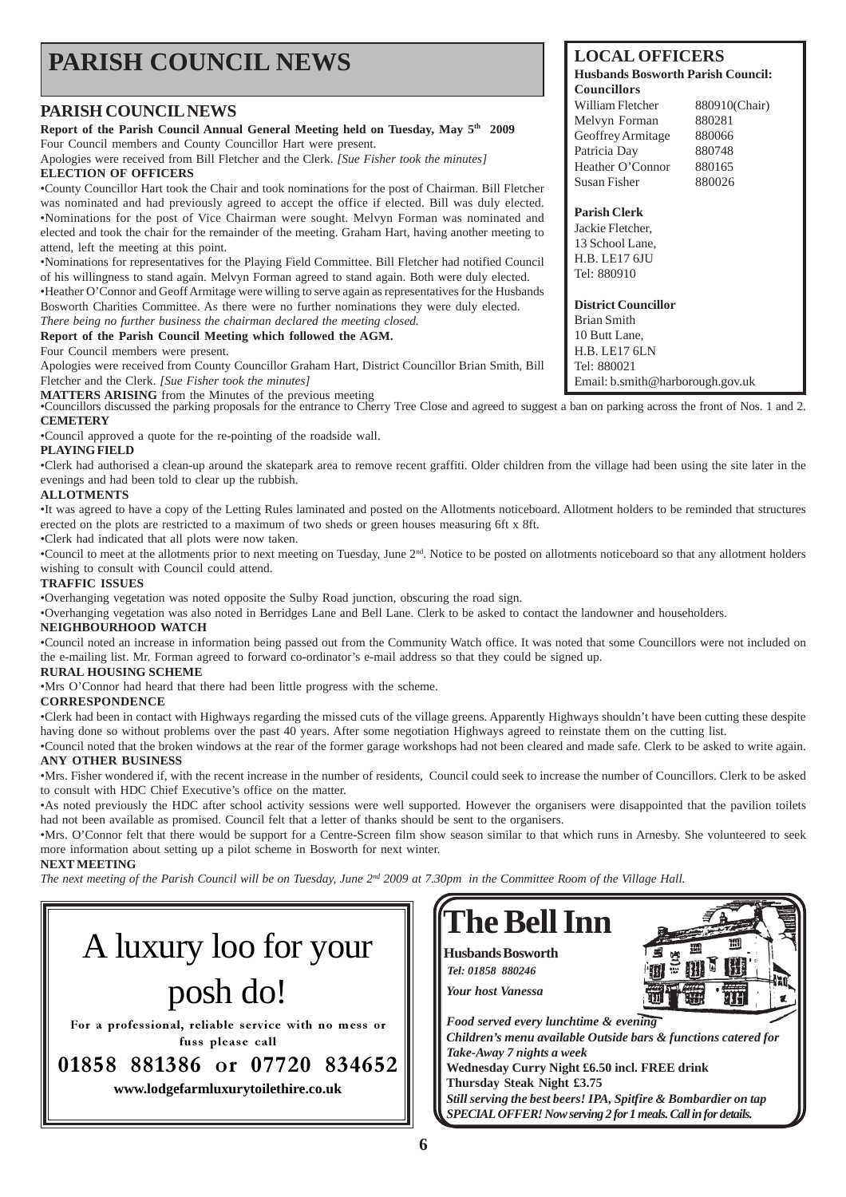#### **LOCAL OFFICERS Husbands Bosworth Parish Council: Councillors** William Fletcher 880910(Chair) Melvyn Forman 880281 Geoffrey Armitage 880066 Patricia Day 880748 Heather O'Connor 880165 Susan Fisher 880026 **Parish Clerk** Jackie Fletcher, 13 School Lane, H.B. LE17 6JU Tel: 880910 **District Councillor** Brian Smith 10 Butt Lane, H.B. LE17 6LN Tel: 880021 **PARISH COUNCIL NEWS PARISH COUNCIL NEWS Report of the Parish Council Annual General Meeting held on Tuesday, May 5th 2009** Four Council members and County Councillor Hart were present. Apologies were received from Bill Fletcher and the Clerk. *[Sue Fisher took the minutes]* **ELECTION OF OFFICERS** •County Councillor Hart took the Chair and took nominations for the post of Chairman. Bill Fletcher was nominated and had previously agreed to accept the office if elected. Bill was duly elected. •Nominations for the post of Vice Chairman were sought. Melvyn Forman was nominated and elected and took the chair for the remainder of the meeting. Graham Hart, having another meeting to attend, left the meeting at this point. •Nominations for representatives for the Playing Field Committee. Bill Fletcher had notified Council of his willingness to stand again. Melvyn Forman agreed to stand again. Both were duly elected. •Heather O'Connor and Geoff Armitage were willing to serve again as representatives for the Husbands Bosworth Charities Committee. As there were no further nominations they were duly elected. *There being no further business the chairman declared the meeting closed.* **Report of the Parish Council Meeting which followed the AGM.** Four Council members were present. Apologies were received from County Councillor Graham Hart, District Councillor Brian Smith, Bill

Fletcher and the Clerk. *[Sue Fisher took the minutes]*

**MATTERS ARISING** from the Minutes of the previous meeting<br>•Councillors discussed the parking proposals for the entrance to Cherry Tree Close and agreed to suggest a ban on parking across the front of Nos. 1 and 2. **CEMETERY**

•Council approved a quote for the re-pointing of the roadside wall.

#### **PLAYING FIELD**

•Clerk had authorised a clean-up around the skatepark area to remove recent graffiti. Older children from the village had been using the site later in the evenings and had been told to clear up the rubbish.

#### **ALLOTMENTS**

•It was agreed to have a copy of the Letting Rules laminated and posted on the Allotments noticeboard. Allotment holders to be reminded that structures erected on the plots are restricted to a maximum of two sheds or green houses measuring 6ft x 8ft.

•Clerk had indicated that all plots were now taken.

•Council to meet at the allotments prior to next meeting on Tuesday, June  $2<sup>nd</sup>$ . Notice to be posted on allotments noticeboard so that any allotment holders wishing to consult with Council could attend.

#### **TRAFFIC ISSUES**

•Overhanging vegetation was noted opposite the Sulby Road junction, obscuring the road sign.

•Overhanging vegetation was also noted in Berridges Lane and Bell Lane. Clerk to be asked to contact the landowner and householders.

#### **NEIGHBOURHOOD WATCH**

•Council noted an increase in information being passed out from the Community Watch office. It was noted that some Councillors were not included on the e-mailing list. Mr. Forman agreed to forward co-ordinator's e-mail address so that they could be signed up.

#### **RURAL HOUSING SCHEME**

•Mrs O'Connor had heard that there had been little progress with the scheme.

#### **CORRESPONDENCE**

•Clerk had been in contact with Highways regarding the missed cuts of the village greens. Apparently Highways shouldn't have been cutting these despite having done so without problems over the past 40 years. After some negotiation Highways agreed to reinstate them on the cutting list.

•Council noted that the broken windows at the rear of the former garage workshops had not been cleared and made safe. Clerk to be asked to write again. **ANY OTHER BUSINESS**

•Mrs. Fisher wondered if, with the recent increase in the number of residents, Council could seek to increase the number of Councillors. Clerk to be asked to consult with HDC Chief Executive's office on the matter.

•As noted previously the HDC after school activity sessions were well supported. However the organisers were disappointed that the pavilion toilets had not been available as promised. Council felt that a letter of thanks should be sent to the organisers.

•Mrs. O'Connor felt that there would be support for a Centre-Screen film show season similar to that which runs in Arnesby. She volunteered to seek more information about setting up a pilot scheme in Bosworth for next winter.

#### **NEXT MEETING**

*The next meeting of the Parish Council will be on Tuesday, June 2nd 2009 at 7.30pm in the Committee Room of the Village Hall.*



**www.lodgefarmluxurytoilethire.co.uk**



Email: b.smith@harborough.gov.uk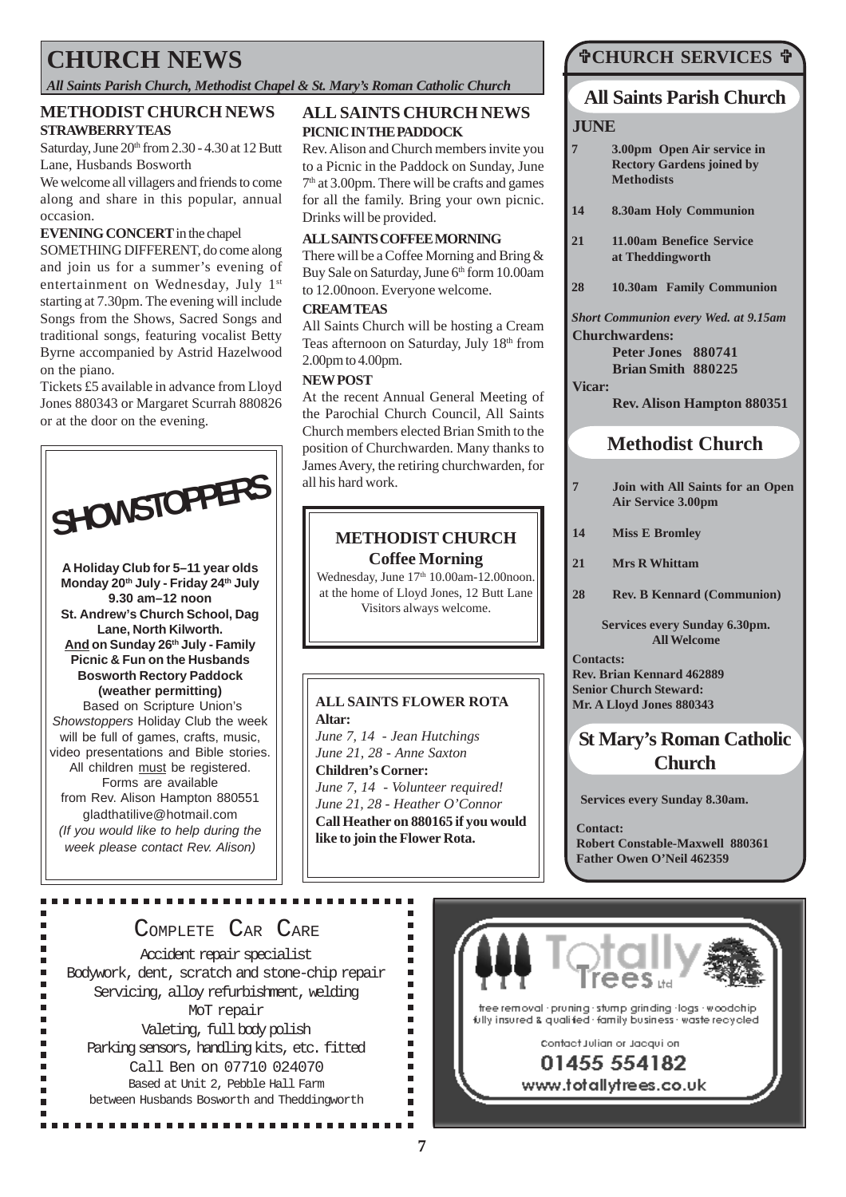# **CHURCH NEWS**

*All Saints Parish Church, Methodist Chapel & St. Mary's Roman Catholic Church*

#### **METHODIST CHURCH NEWS STRAWBERRY TEAS**

Saturday, June  $20<sup>th</sup>$  from 2.30 - 4.30 at 12 Butt Lane, Husbands Bosworth

We welcome all villagers and friends to come along and share in this popular, annual occasion.

#### **EVENING CONCERT** in the chapel

SOMETHING DIFFERENT, do come along and join us for a summer's evening of entertainment on Wednesday, July 1st starting at 7.30pm. The evening will include Songs from the Shows, Sacred Songs and traditional songs, featuring vocalist Betty Byrne accompanied by Astrid Hazelwood on the piano.

Tickets £5 available in advance from Lloyd Jones 880343 or Margaret Scurrah 880826 or at the door on the evening.



**A Holiday Club for 5–11 year olds Monday 20th July - Friday 24th July 9.30 am–12 noon St. Andrew's Church School, Dag Lane, North Kilworth. And on Sunday 26th July - Family Picnic & Fun on the Husbands Bosworth Rectory Paddock (weather permitting)** Based on Scripture Union's Showstoppers Holiday Club the week will be full of games, crafts, music, video presentations and Bible stories. All children must be registered. Forms are available from Rev. Alison Hampton 880551 gladthatilive@hotmail.com (If you would like to help during the week please contact Rev. Alison)

Ė

## **ALL SAINTS CHURCH NEWS PICNIC IN THE PADDOCK**

Rev. Alison and Church members invite you to a Picnic in the Paddock on Sunday, June 7th at 3.00pm. There will be crafts and games for all the family. Bring your own picnic. Drinks will be provided.

#### **ALL SAINTS COFFEE MORNING**

There will be a Coffee Morning and Bring & Buy Sale on Saturday, June 6th form 10.00am to 12.00noon. Everyone welcome.

#### **CREAM TEAS**

All Saints Church will be hosting a Cream Teas afternoon on Saturday, July 18th from 2.00pm to 4.00pm.

#### **NEW POST**

At the recent Annual General Meeting of the Parochial Church Council, All Saints Church members elected Brian Smith to the position of Churchwarden. Many thanks to James Avery, the retiring churchwarden, for all his hard work.

## **METHODIST CHURCH Coffee Morning**

Wednesday, June 17<sup>th</sup> 10.00am-12.00noon. at the home of Lloyd Jones, 12 Butt Lane Visitors always welcome.

## **ALL SAINTS FLOWER ROTA Altar:**

*June 7, 14 - Jean Hutchings June 21, 28 - Anne Saxton* **Children's Corner:** *June 7, 14 - Volunteer required! June 21, 28 - Heather O'Connor* **Call Heather on 880165 if you would like to join the Flower Rota.**

> $\blacksquare$  $\blacksquare$

> $\blacksquare$  $\blacksquare$  $\blacksquare$

> $\blacksquare$  $\blacksquare$

> $\blacksquare$

 $\blacksquare$  $\blacksquare$ 

 $\blacksquare$  $\blacksquare$ 

 $\blacksquare$  $\blacksquare$ 

## **CHURCH SERVICES**

## **All Saints Parish Church**

#### **JUNE**

- **7 3.00pm Open Air service in Rectory Gardens joined by Methodists**
- **14 8.30am Holy Communion**
- **21 11.00am Benefice Service at Theddingworth**
- **28 10.30am Family Communion**

*Short Communion every Wed. at 9.15am* **Churchwardens:**

> **Peter Jones 880741 Brian Smith 880225**

#### **Vicar:**

**Rev. Alison Hampton 880351**

## **Methodist Church**

- **7 Join with All Saints for an Open Air Service 3.00pm**
- **14 Miss E Bromley**
- **21 Mrs R Whittam**
- **28 Rev. B Kennard (Communion)**

#### **Services every Sunday 6.30pm. All Welcome**

**Contacts: Rev. Brian Kennard 462889 Senior Church Steward: Mr. A Lloyd Jones 880343**

## **St Mary's Roman Catholic Church**

**Services every Sunday 8.30am.**

**Contact: Robert Constable-Maxwell 880361 Father Owen O'Neil 462359**

## COMPLETE CAR CARE

Accident repair specialist Bodywork, dent, scratch and stone-chip repair Servicing, alloy refurbishment, welding MoT repair Valeting, full body polish Parking sensors, handling kits, etc. fitted Call Ben on 07710 024070 Based at Unit 2, Pebble Hall Farm between Husbands Bosworth and Theddingworth

...............